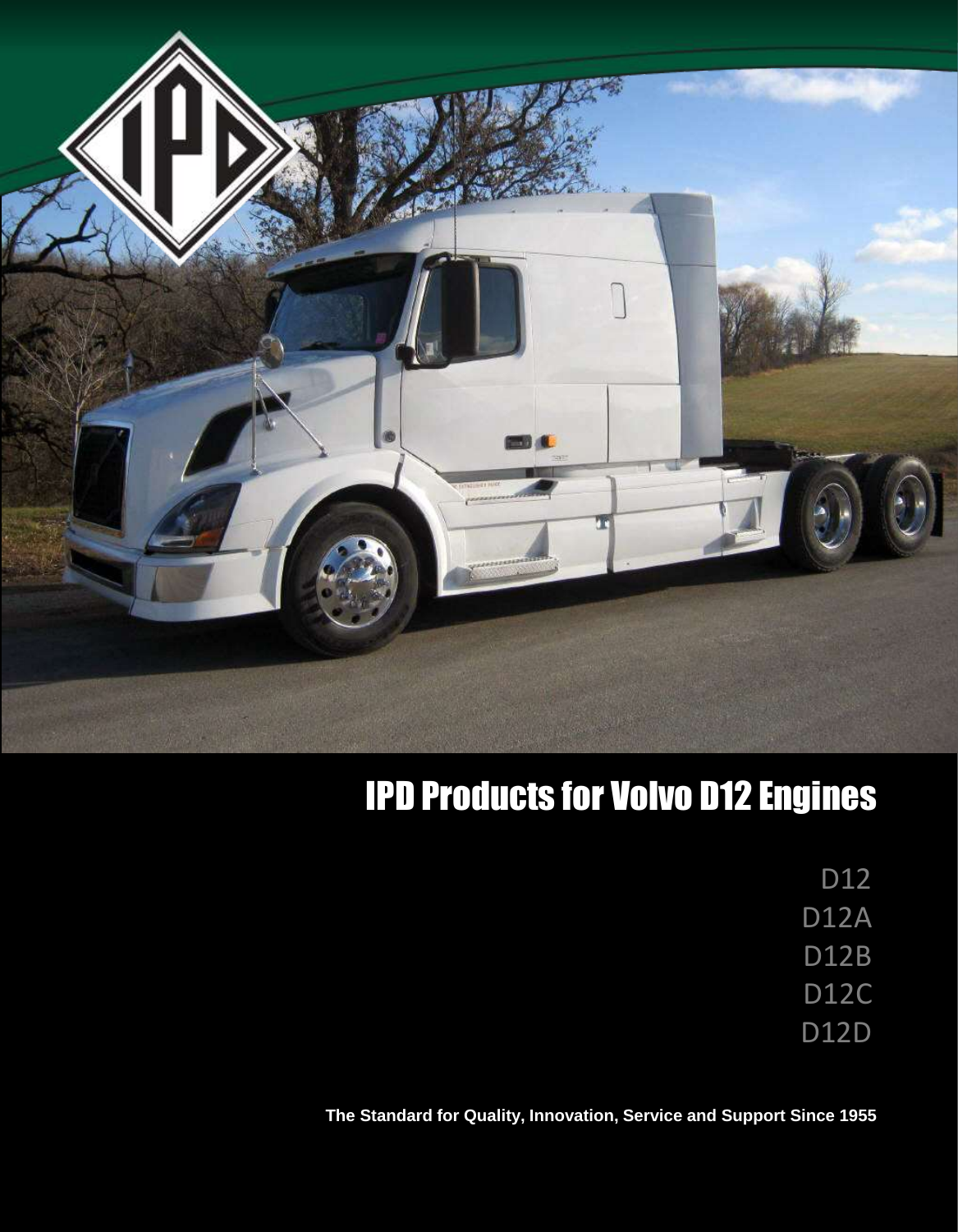

# IPD Products for Volvo D12 Engines

D<sub>12</sub>

D12A

D12B

D12C

D12D

**The Standard for Quality, Innovation, Service and Support Since 1955**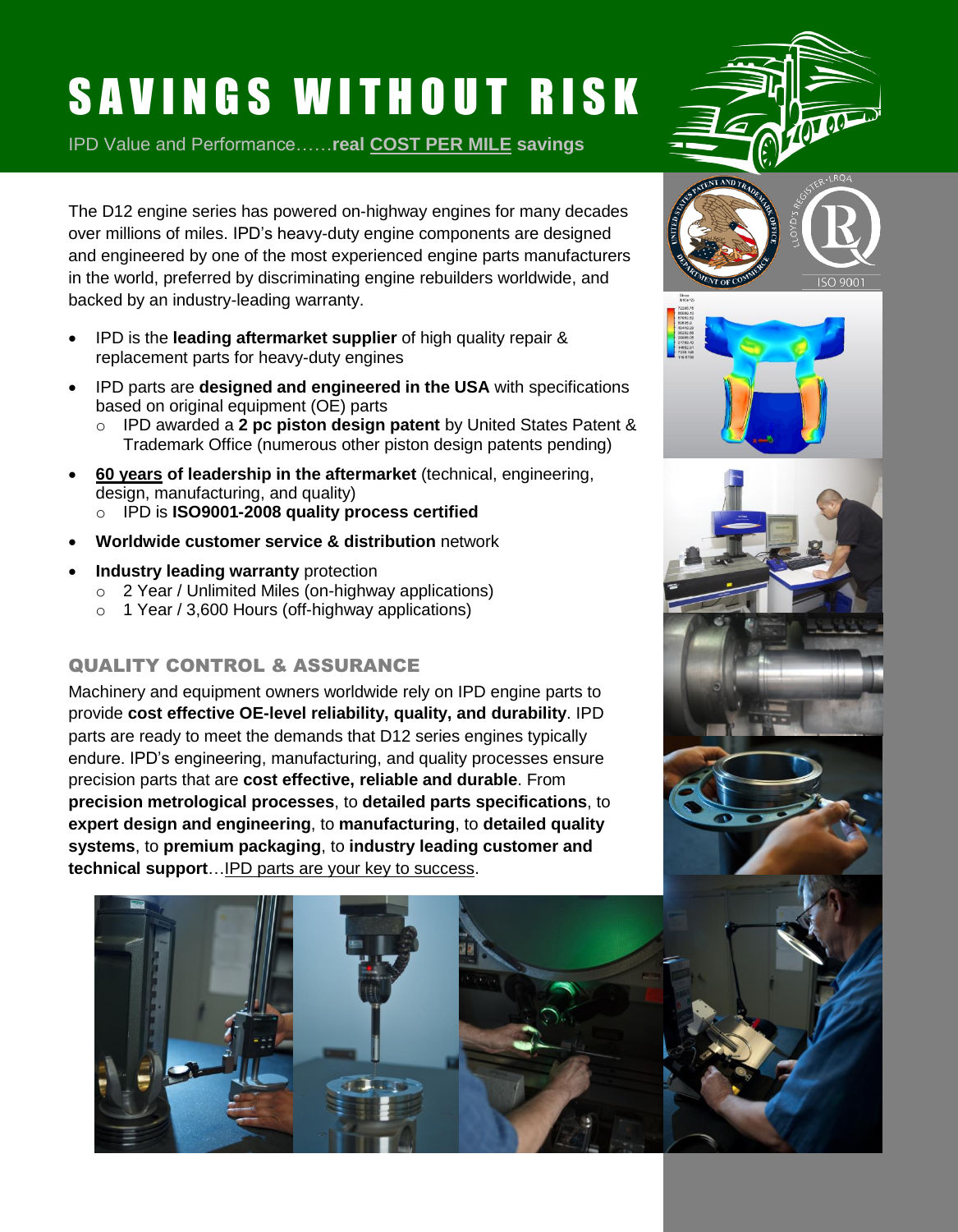# SAVINGS WITHOUT RISK

IPD Value and Performance……**real COST PER MILE savings**



The D12 engine series has powered on-highway engines for many decades over millions of miles. IPD's heavy-duty engine components are designed and engineered by one of the most experienced engine parts manufacturers in the world, preferred by discriminating engine rebuilders worldwide, and backed by an industry-leading warranty.

- IPD is the **leading aftermarket supplier** of high quality repair & replacement parts for heavy-duty engines
- IPD parts are **designed and engineered in the USA** with specifications based on original equipment (OE) parts
	- o IPD awarded a **2 pc piston design patent** by United States Patent & Trademark Office (numerous other piston design patents pending)
- **60 years of leadership in the aftermarket** (technical, engineering, design, manufacturing, and quality) o IPD is **ISO9001-2008 quality process certified**
- **Worldwide customer service & distribution** network
- **Industry leading warranty** protection
	- o 2 Year / Unlimited Miles (on-highway applications)
	- $\circ$  1 Year / 3,600 Hours (off-highway applications)

#### QUALITY CONTROL & ASSURANCE

Machinery and equipment owners worldwide rely on IPD engine parts to provide **cost effective OE-level reliability, quality, and durability**. IPD parts are ready to meet the demands that D12 series engines typically endure. IPD's engineering, manufacturing, and quality processes ensure precision parts that are **cost effective, reliable and durable**. From **precision metrological processes**, to **detailed parts specifications**, to **expert design and engineering**, to **manufacturing**, to **detailed quality systems**, to **premium packaging**, to **industry leading customer and technical support**…IPD parts are your key to success.









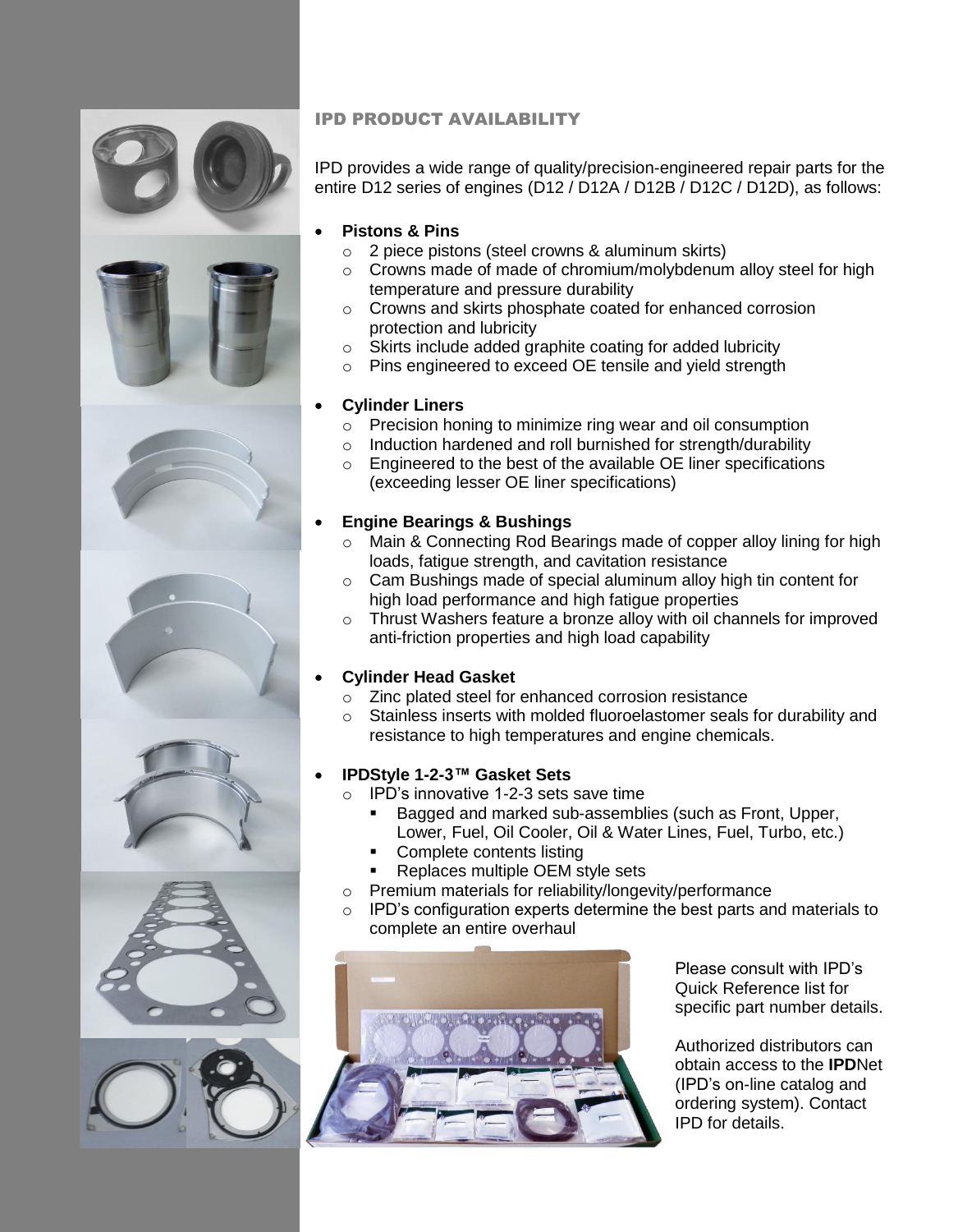

#### IPD PRODUCT AVAILABILITY

IPD provides a wide range of quality/precision-engineered repair parts for the entire D12 series of engines (D12 / D12A / D12B / D12C / D12D), as follows:

#### **Pistons & Pins**

- o 2 piece pistons (steel crowns & aluminum skirts)
- o Crowns made of made of chromium/molybdenum alloy steel for high temperature and pressure durability
- o Crowns and skirts phosphate coated for enhanced corrosion protection and lubricity
- o Skirts include added graphite coating for added lubricity
- o Pins engineered to exceed OE tensile and yield strength

#### **Cylinder Liners**

- o Precision honing to minimize ring wear and oil consumption
- o Induction hardened and roll burnished for strength/durability
- o Engineered to the best of the available OE liner specifications (exceeding lesser OE liner specifications)

#### **Engine Bearings & Bushings**

- o Main & Connecting Rod Bearings made of copper alloy lining for high loads, fatigue strength, and cavitation resistance
- o Cam Bushings made of special aluminum alloy high tin content for high load performance and high fatigue properties
- o Thrust Washers feature a bronze alloy with oil channels for improved anti-friction properties and high load capability

#### **Cylinder Head Gasket**

- o Zinc plated steel for enhanced corrosion resistance
- o Stainless inserts with molded fluoroelastomer seals for durability and resistance to high temperatures and engine chemicals.

#### **IPDStyle 1-2-3™ Gasket Sets**

- o IPD's innovative 1-2-3 sets save time
	- Bagged and marked sub-assemblies (such as Front, Upper, Lower, Fuel, Oil Cooler, Oil & Water Lines, Fuel, Turbo, etc.)
	- Complete contents listing
	- Replaces multiple OEM style sets
- o Premium materials for reliability/longevity/performance
- o IPD's configuration experts determine the best parts and materials to complete an entire overhaul



Please consult with IPD's Quick Reference list for specific part number details.

Authorized distributors can obtain access to the **IPD**Net (IPD's on-line catalog and ordering system). Contact IPD for details.